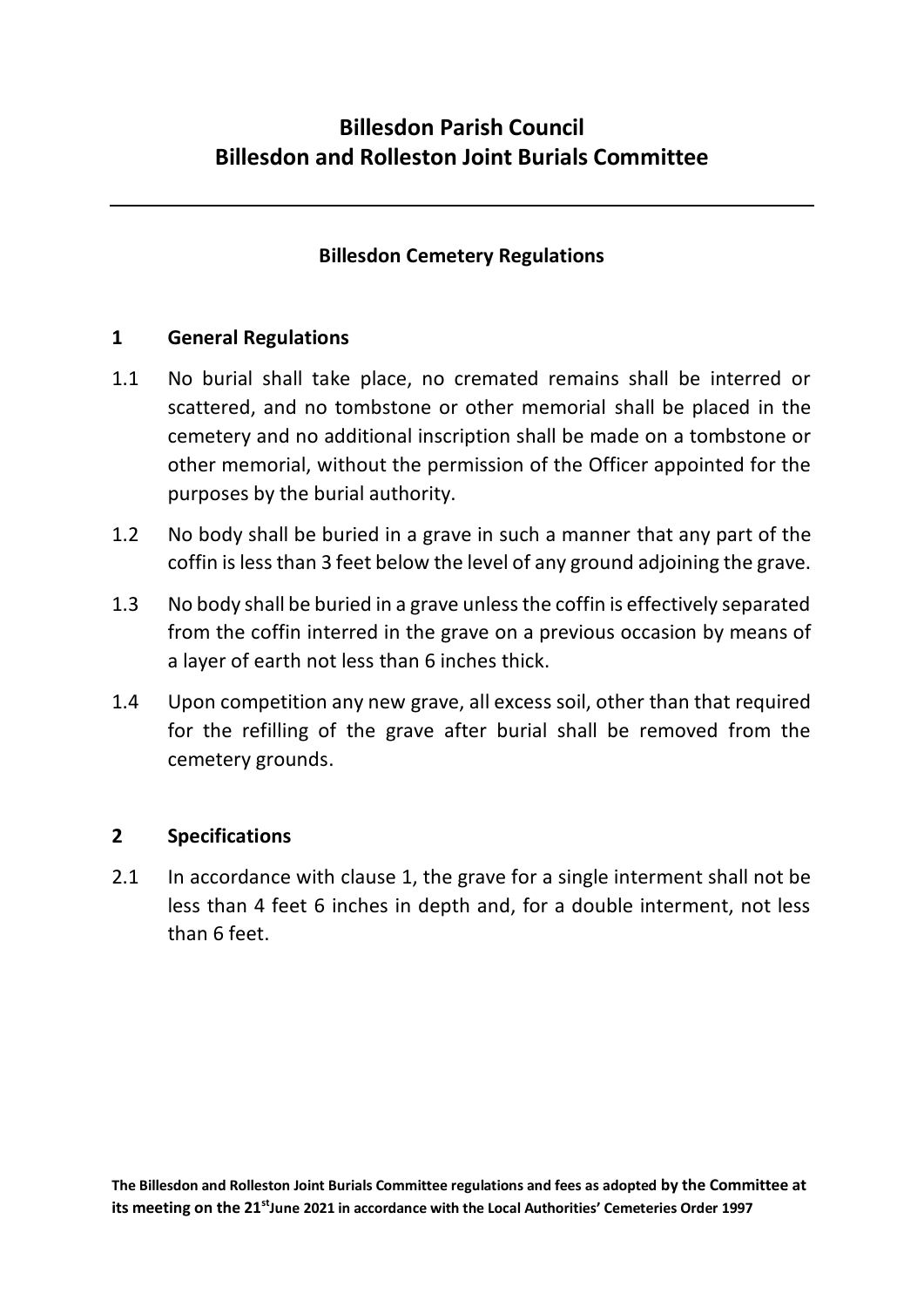# **Billesdon Cemetery Regulations**

## **1 General Regulations**

- 1.1 No burial shall take place, no cremated remains shall be interred or scattered, and no tombstone or other memorial shall be placed in the cemetery and no additional inscription shall be made on a tombstone or other memorial, without the permission of the Officer appointed for the purposes by the burial authority.
- 1.2 No body shall be buried in a grave in such a manner that any part of the coffin is less than 3 feet below the level of any ground adjoining the grave.
- 1.3 No body shall be buried in a grave unless the coffin is effectively separated from the coffin interred in the grave on a previous occasion by means of a layer of earth not less than 6 inches thick.
- 1.4 Upon competition any new grave, all excess soil, other than that required for the refilling of the grave after burial shall be removed from the cemetery grounds.

## **2 Specifications**

2.1 In accordance with clause 1, the grave for a single interment shall not be less than 4 feet 6 inches in depth and, for a double interment, not less than 6 feet.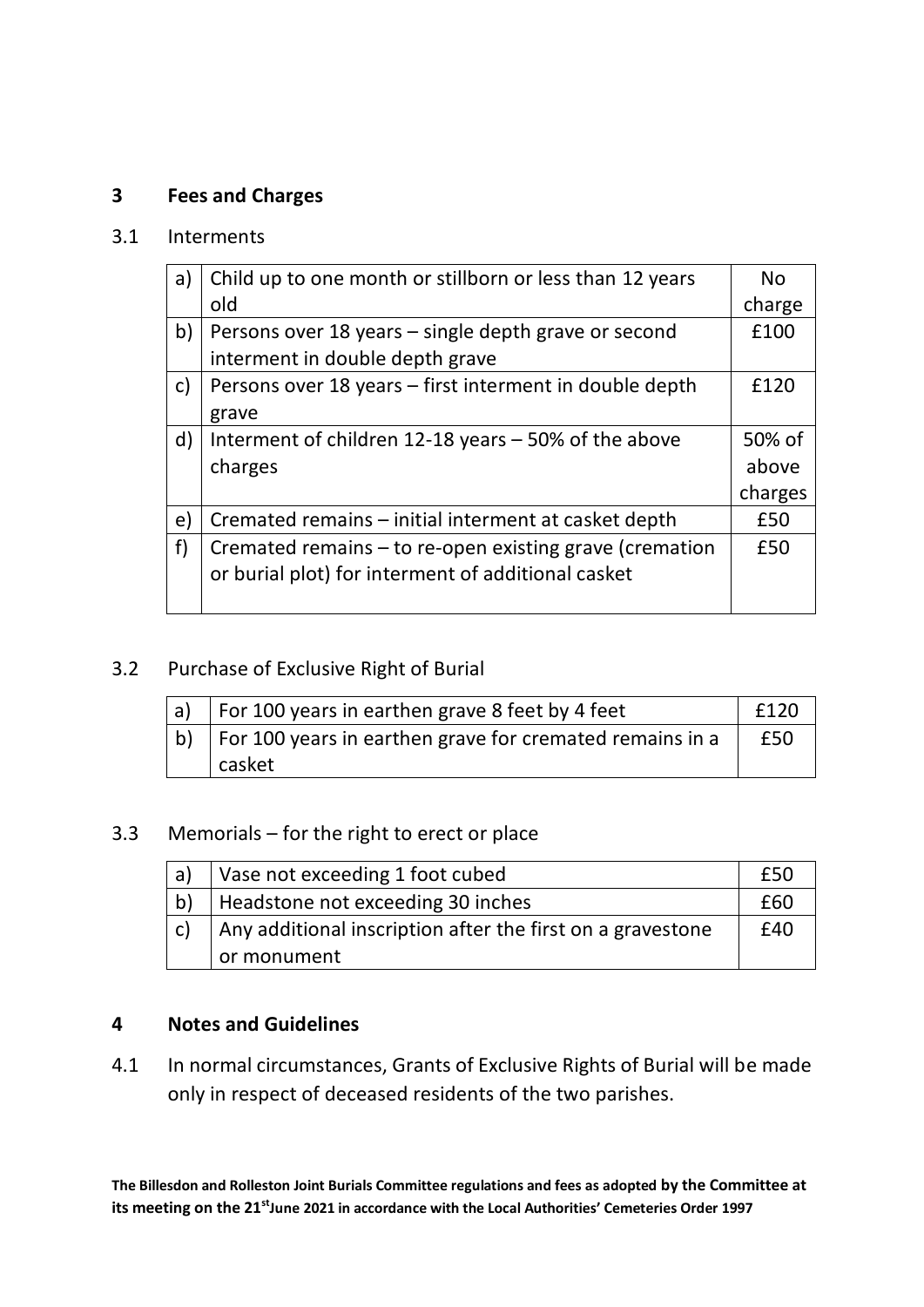## **3 Fees and Charges**

#### 3.1 Interments

| a)           | Child up to one month or stillborn or less than 12 years | <b>No</b> |
|--------------|----------------------------------------------------------|-----------|
|              | old                                                      | charge    |
| b)           | Persons over 18 years – single depth grave or second     | £100      |
|              | interment in double depth grave                          |           |
| $\mathsf{c}$ | Persons over 18 years - first interment in double depth  | £120      |
|              | grave                                                    |           |
| d)           | Interment of children 12-18 years – 50% of the above     | 50% of    |
|              | charges                                                  | above     |
|              |                                                          | charges   |
| e)           | Cremated remains - initial interment at casket depth     | £50       |
| f)           | Cremated remains – to re-open existing grave (cremation  | £50       |
|              | or burial plot) for interment of additional casket       |           |
|              |                                                          |           |

#### 3.2 Purchase of Exclusive Right of Burial

| a) | For 100 years in earthen grave 8 feet by 4 feet               | £120 |
|----|---------------------------------------------------------------|------|
|    | b)   For 100 years in earthen grave for cremated remains in a | £50  |
|    | casket                                                        |      |

### 3.3 Memorials – for the right to erect or place

| a)           | Vase not exceeding 1 foot cubed                            | £50 |
|--------------|------------------------------------------------------------|-----|
| b)           | Headstone not exceeding 30 inches                          | £60 |
| $\mathsf{C}$ | Any additional inscription after the first on a gravestone | £40 |
|              | or monument                                                |     |

### **4 Notes and Guidelines**

4.1 In normal circumstances, Grants of Exclusive Rights of Burial will be made only in respect of deceased residents of the two parishes.

**The Billesdon and Rolleston Joint Burials Committee regulations and fees as adopted by the Committee at its meeting on the 21stJune 2021 in accordance with the Local Authorities' Cemeteries Order 1997**